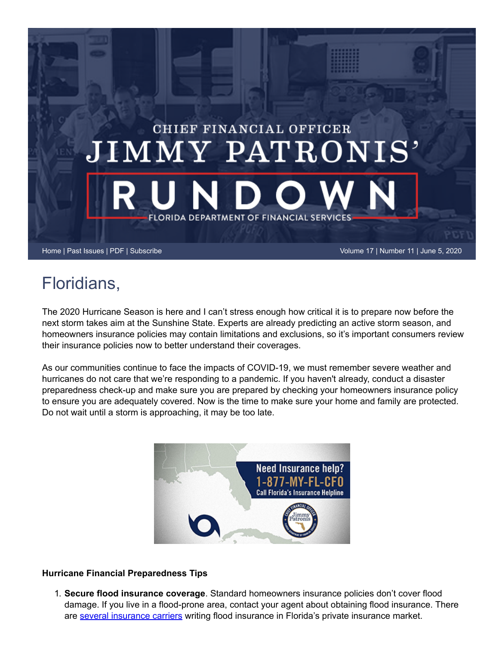

## Floridians,

The 2020 Hurricane Season is here and I can't stress enough how critical it is to prepare now before the next storm takes aim at the Sunshine State. Experts are already predicting an active storm season, and homeowners insurance policies may contain limitations and exclusions, so it's important consumers review their insurance policies now to better understand their coverages.

As our communities continue to face the impacts of COVID-19, we must remember severe weather and hurricanes do not care that we're responding to a pandemic. If you haven't already, conduct a disaster preparedness check-up and make sure you are prepared by checking your homeowners insurance policy to ensure you are adequately covered. Now is the time to make sure your home and family are protected. Do not wait until a storm is approaching, it may be too late.



## **Hurricane Financial Preparedness Tips**

1. **Secure flood insurance coverage**. Standard homeowners insurance policies don't cover flood damage. If you live in a flood-prone area, contact your agent about obtaining flood insurance. There are [several insurance carriers](https://www.floir.com/Sections/PandC/FloodInsurance/FloodInsuranceWritersFL.aspx) writing flood insurance in Florida's private insurance market.